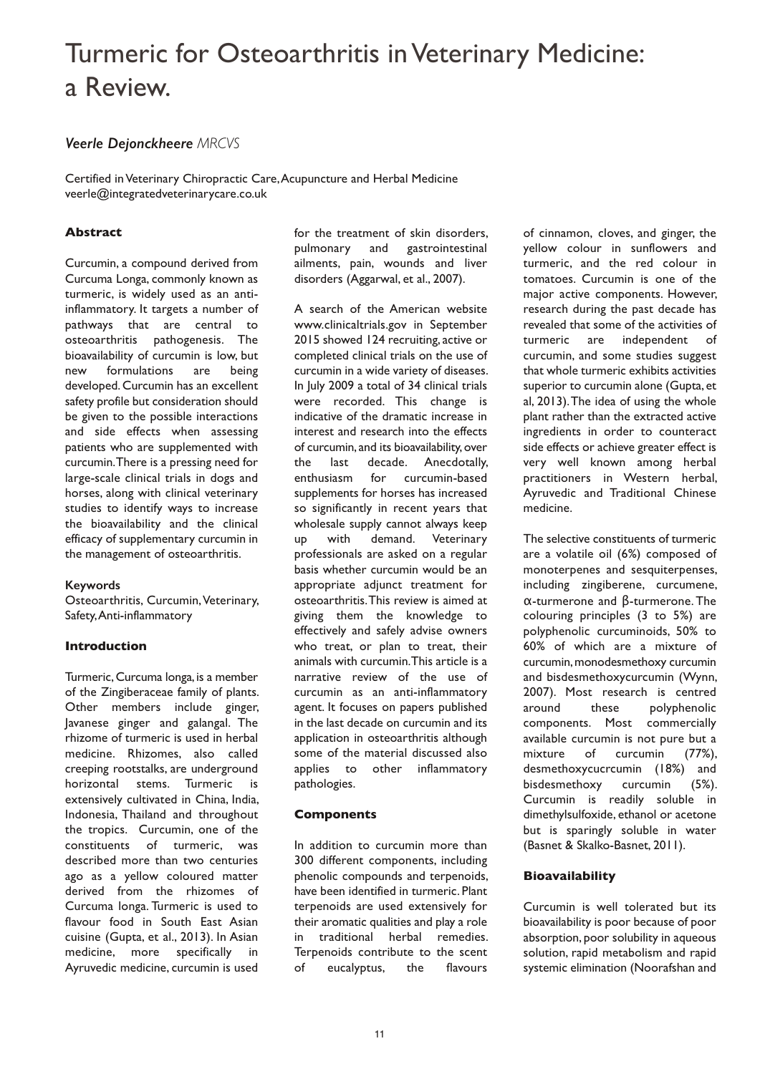# Turmeric for Osteoarthritis inVeterinary Medicine: a Review.

# *Veerle Dejonckheere MRCVS*

Certified inVeterinary Chiropractic Care,Acupuncture and Herbal Medicine veerle@integratedveterinarycare.co.uk

# **Abstract**

Curcumin, a compound derived from Curcuma Longa, commonly known as turmeric, is widely used as an antiinflammatory. It targets a number of pathways that are central to osteoarthritis pathogenesis. The bioavailability of curcumin is low, but new formulations are being developed. Curcumin has an excellent safety profile but consideration should be given to the possible interactions and side effects when assessing patients who are supplemented with curcumin.There is a pressing need for large-scale clinical trials in dogs and horses, along with clinical veterinary studies to identify ways to increase the bioavailability and the clinical efficacy of supplementary curcumin in the management of osteoarthritis.

### **Keywords**

Osteoarthritis, Curcumin, Veterinary, Safety,Anti-inflammatory

### **Introduction**

Turmeric, Curcuma longa, is a member of the Zingiberaceae family of plants. Other members include ginger, Javanese ginger and galangal. The rhizome of turmeric is used in herbal medicine. Rhizomes, also called creeping rootstalks, are underground horizontal stems. Turmeric is extensively cultivated in China, India, Indonesia, Thailand and throughout the tropics. Curcumin, one of the constituents of turmeric, was described more than two centuries ago as a yellow coloured matter derived from the rhizomes of Curcuma longa. Turmeric is used to flavour food in South East Asian cuisine (Gupta, et al., 2013). In Asian medicine, more specifically in Ayruvedic medicine, curcumin is used

for the treatment of skin disorders, pulmonary and gastrointestinal ailments, pain, wounds and liver disorders (Aggarwal, et al., 2007).

A search of the American website www.clinicaltrials.gov in September 2015 showed 124 recruiting, active or completed clinical trials on the use of curcumin in a wide variety of diseases. In July 2009 a total of 34 clinical trials were recorded. This change is indicative of the dramatic increase in interest and research into the effects of curcumin, and its bioavailability,over the last decade. Anecdotally, enthusiasm for curcumin-based supplements for horses has increased so significantly in recent years that wholesale supply cannot always keep up with demand. Veterinary professionals are asked on a regular basis whether curcumin would be an appropriate adjunct treatment for osteoarthritis.This review is aimed at giving them the knowledge to effectively and safely advise owners who treat, or plan to treat, their animals with curcumin.This article is a narrative review of the use of curcumin as an anti-inflammatory agent. It focuses on papers published in the last decade on curcumin and its application in osteoarthritis although some of the material discussed also applies to other inflammatory pathologies.

### **Components**

In addition to curcumin more than 300 different components, including phenolic compounds and terpenoids, have been identified in turmeric. Plant terpenoids are used extensively for their aromatic qualities and play a role in traditional herbal remedies. Terpenoids contribute to the scent of eucalyptus, the flavours

of cinnamon, cloves, and ginger, the yellow colour in sunflowers and turmeric, and the red colour in tomatoes. Curcumin is one of the major active components. However, research during the past decade has revealed that some of the activities of turmeric are independent of curcumin, and some studies suggest that whole turmeric exhibits activities superior to curcumin alone (Gupta, et al, 2013).The idea of using the whole plant rather than the extracted active ingredients in order to counteract side effects or achieve greater effect is very well known among herbal practitioners in Western herbal, Ayruvedic and Traditional Chinese medicine.

The selective constituents of turmeric are a volatile oil (6%) composed of monoterpenes and sesquiterpenses, including zingiberene, curcumene, α-turmerone and β-turmerone. The colouring principles (3 to 5%) are polyphenolic curcuminoids, 50% to 60% of which are a mixture of curcumin, monodesmethoxy curcumin and bisdesmethoxycurcumin (Wynn, 2007). Most research is centred around these polyphenolic components. Most commercially available curcumin is not pure but a mixture of curcumin (77%), desmethoxycucrcumin (18%) and bisdesmethoxy curcumin (5%). Curcumin is readily soluble in dimethylsulfoxide, ethanol or acetone but is sparingly soluble in water (Basnet & Skalko-Basnet, 2011).

### **Bioavailability**

Curcumin is well tolerated but its bioavailability is poor because of poor absorption, poor solubility in aqueous solution, rapid metabolism and rapid systemic elimination (Noorafshan and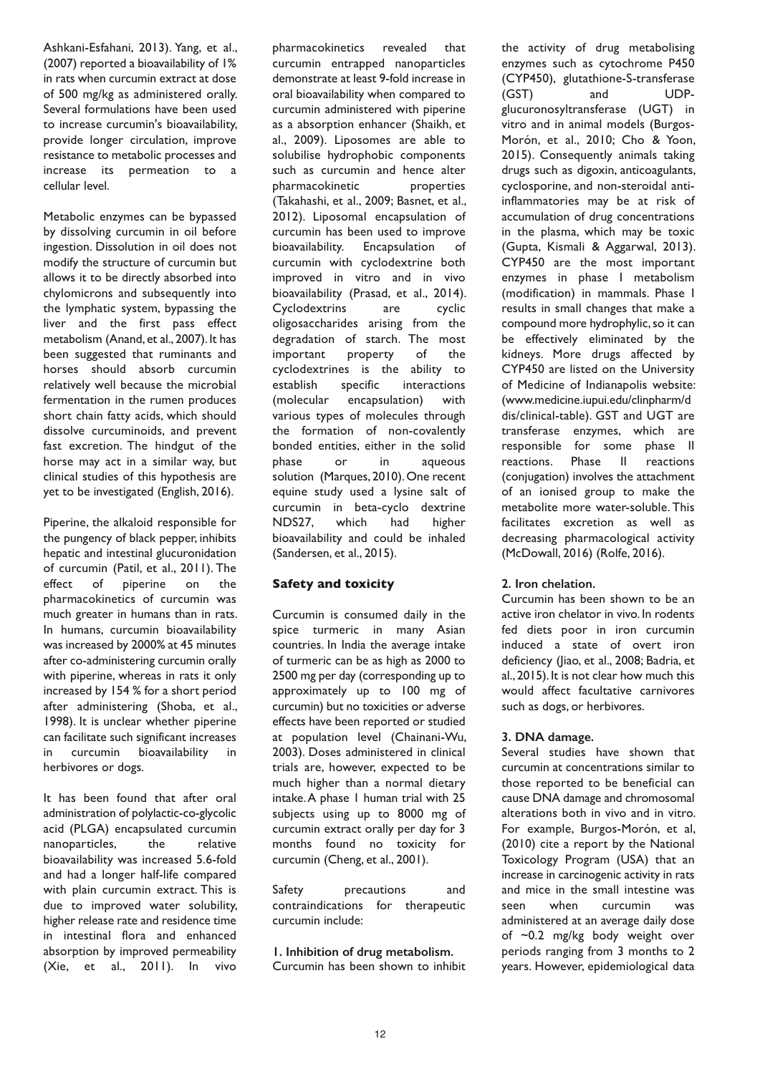Ashkani-Esfahani, 2013). Yang, et al., (2007) reported a bioavailability of 1% in rats when curcumin extract at dose of 500 mg/kg as administered orally. Several formulations have been used to increase curcumin's bioavailability, provide longer circulation, improve resistance to metabolic processes and increase its permeation to a cellular level.

Metabolic enzymes can be bypassed by dissolving curcumin in oil before ingestion. Dissolution in oil does not modify the structure of curcumin but allows it to be directly absorbed into chylomicrons and subsequently into the lymphatic system, bypassing the liver and the first pass effect metabolism (Anand, et al., 2007). It has been suggested that ruminants and horses should absorb curcumin relatively well because the microbial fermentation in the rumen produces short chain fatty acids, which should dissolve curcuminoids, and prevent fast excretion. The hindgut of the horse may act in a similar way, but clinical studies of this hypothesis are yet to be investigated (English, 2016).

Piperine, the alkaloid responsible for the pungency of black pepper, inhibits hepatic and intestinal glucuronidation of curcumin (Patil, et al., 2011). The effect of piperine on the pharmacokinetics of curcumin was much greater in humans than in rats. In humans, curcumin bioavailability was increased by 2000% at 45 minutes after co-administering curcumin orally with piperine, whereas in rats it only increased by 154 % for a short period after administering (Shoba, et al., 1998). It is unclear whether piperine can facilitate such significant increases in curcumin bioavailability in herbivores or dogs.

It has been found that after oral administration of polylactic-co-glycolic acid (PLGA) encapsulated curcumin nanoparticles, the relative bioavailability was increased 5.6-fold and had a longer half-life compared with plain curcumin extract. This is due to improved water solubility, higher release rate and residence time in intestinal flora and enhanced absorption by improved permeability (Xie, et al., 2011). In vivo

pharmacokinetics revealed that curcumin entrapped nanoparticles demonstrate at least 9-fold increase in oral bioavailability when compared to curcumin administered with piperine as a absorption enhancer (Shaikh, et al., 2009). Liposomes are able to solubilise hydrophobic components such as curcumin and hence alter pharmacokinetic properties (Takahashi, et al., 2009; Basnet, et al., 2012). Liposomal encapsulation of curcumin has been used to improve bioavailability. Encapsulation of curcumin with cyclodextrine both improved in vitro and in vivo bioavailability (Prasad, et al., 2014). Cyclodextrins are cyclic oligosaccharides arising from the degradation of starch. The most important property of the cyclodextrines is the ability to establish specific interactions (molecular encapsulation) with various types of molecules through the formation of non-covalently bonded entities, either in the solid phase or in aqueous solution (Marques, 2010). One recent equine study used a lysine salt of curcumin in beta-cyclo dextrine NDS27, which had higher bioavailability and could be inhaled (Sandersen, et al., 2015).

# **Safety and toxicity**

Curcumin is consumed daily in the spice turmeric in many Asian countries. In India the average intake of turmeric can be as high as 2000 to 2500 mg per day (corresponding up to approximately up to 100 mg of curcumin) but no toxicities or adverse effects have been reported or studied at population level (Chainani-Wu, 2003). Doses administered in clinical trials are, however, expected to be much higher than a normal dietary intake.A phase 1 human trial with 25 subjects using up to 8000 mg of curcumin extract orally per day for 3 months found no toxicity for curcumin (Cheng, et al., 2001).

Safety precautions and contraindications for therapeutic curcumin include:

**1. Inhibition of drug metabolism.** Curcumin has been shown to inhibit

the activity of drug metabolising enzymes such as cytochrome P450 (CYP450), glutathione-S-transferase (GST) and UDPglucuronosyltransferase (UGT) in vitro and in animal models (Burgos-Morón, et al., 2010; Cho & Yoon, 2015). Consequently animals taking drugs such as digoxin, anticoagulants, cyclosporine, and non-steroidal antiinflammatories may be at risk of accumulation of drug concentrations in the plasma, which may be toxic (Gupta, Kismali & Aggarwal, 2013). CYP450 are the most important enzymes in phase I metabolism (modification) in mammals. Phase I results in small changes that make a compound more hydrophylic, so it can be effectively eliminated by the kidneys. More drugs affected by CYP450 are listed on the University of Medicine of Indianapolis website: (www.medicine.iupui.edu/clinpharm/d dis/clinical-table). GST and UGT are transferase enzymes, which are responsible for some phase II reactions. Phase II reactions (conjugation) involves the attachment of an ionised group to make the metabolite more water-soluble. This facilitates excretion as well as decreasing pharmacological activity (McDowall, 2016) (Rolfe, 2016).

# **2. Iron chelation.**

Curcumin has been shown to be an active iron chelator in vivo. In rodents fed diets poor in iron curcumin induced a state of overt iron deficiency (Jiao, et al., 2008; Badria, et al., 2015). It is not clear how much this would affect facultative carnivores such as dogs, or herbivores.

### **3. DNA damage.**

Several studies have shown that curcumin at concentrations similar to those reported to be beneficial can cause DNA damage and chromosomal alterations both in vivo and in vitro. For example, Burgos-Morón, et al, (2010) cite a report by the National Toxicology Program (USA) that an increase in carcinogenic activity in rats and mice in the small intestine was seen when curcumin was administered at an average daily dose of ~0.2 mg/kg body weight over periods ranging from 3 months to 2 years. However, epidemiological data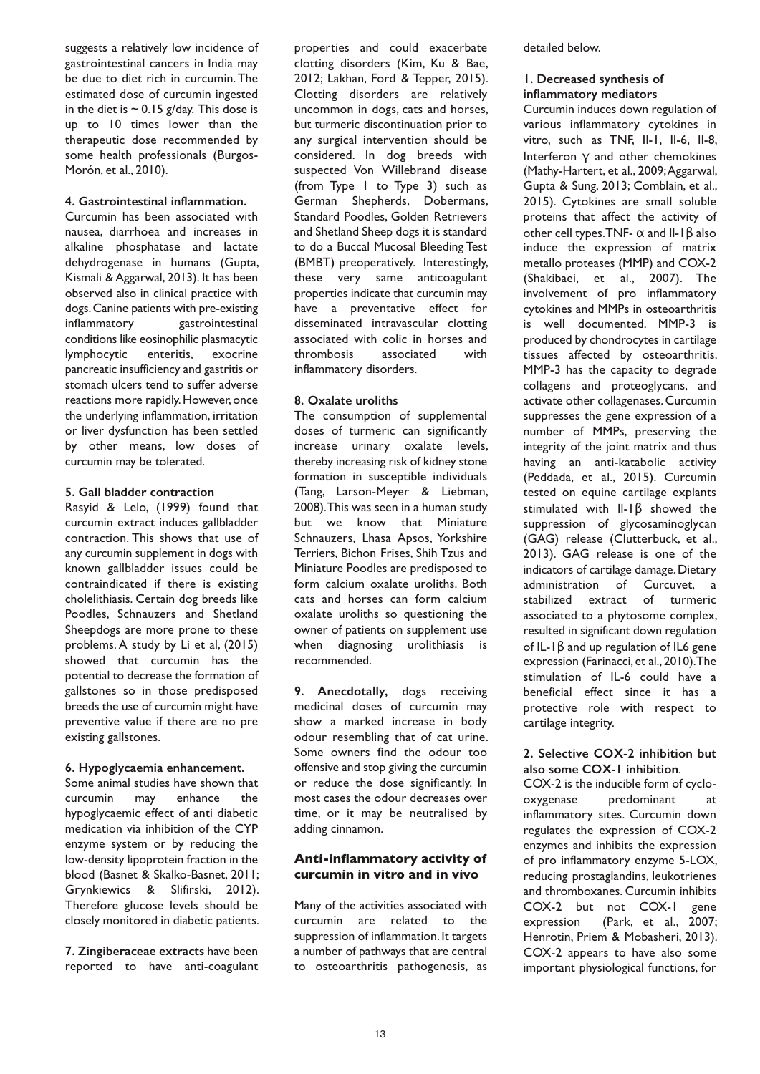suggests a relatively low incidence of gastrointestinal cancers in India may be due to diet rich in curcumin.The estimated dose of curcumin ingested in the diet is  $\sim$  0.15 g/day. This dose is up to 10 times lower than the therapeutic dose recommended by some health professionals (Burgos-Morón, et al., 2010).

## **4. Gastrointestinal inflammation.**

Curcumin has been associated with nausea, diarrhoea and increases in alkaline phosphatase and lactate dehydrogenase in humans (Gupta, Kismali & Aggarwal, 2013). It has been observed also in clinical practice with dogs.Canine patients with pre-existing inflammatory gastrointestinal conditions like eosinophilic plasmacytic lymphocytic enteritis, exocrine pancreatic insufficiency and gastritis or stomach ulcers tend to suffer adverse reactions more rapidly. However, once the underlying inflammation, irritation or liver dysfunction has been settled by other means, low doses of curcumin may be tolerated.

### **5. Gall bladder contraction**

Rasyid & Lelo, (1999) found that curcumin extract induces gallbladder contraction. This shows that use of any curcumin supplement in dogs with known gallbladder issues could be contraindicated if there is existing cholelithiasis. Certain dog breeds like Poodles, Schnauzers and Shetland Sheepdogs are more prone to these problems.A study by Li et al, (2015) showed that curcumin has the potential to decrease the formation of gallstones so in those predisposed breeds the use of curcumin might have preventive value if there are no pre existing gallstones.

# **6. Hypoglycaemia enhancement.**

Some animal studies have shown that curcumin may enhance the hypoglycaemic effect of anti diabetic medication via inhibition of the CYP enzyme system or by reducing the low-density lipoprotein fraction in the blood (Basnet & Skalko-Basnet, 2011; Grynkiewics & Slifirski, 2012). Therefore glucose levels should be closely monitored in diabetic patients.

**7. Zingiberaceae extracts** have been reported to have anti-coagulant properties and could exacerbate clotting disorders (Kim, Ku & Bae, 2012; Lakhan, Ford & Tepper, 2015). Clotting disorders are relatively uncommon in dogs, cats and horses, but turmeric discontinuation prior to any surgical intervention should be considered. In dog breeds with suspected Von Willebrand disease (from Type 1 to Type 3) such as German Shepherds, Dobermans, Standard Poodles, Golden Retrievers and Shetland Sheep dogs it is standard to do a Buccal Mucosal Bleeding Test (BMBT) preoperatively. Interestingly, these very same anticoagulant properties indicate that curcumin may have a preventative effect for disseminated intravascular clotting associated with colic in horses and thrombosis associated with inflammatory disorders.

# **8. Oxalate uroliths**

The consumption of supplemental doses of turmeric can significantly increase urinary oxalate levels, thereby increasing risk of kidney stone formation in susceptible individuals (Tang, Larson-Meyer & Liebman, 2008).This was seen in a human study but we know that Miniature Schnauzers, Lhasa Apsos, Yorkshire Terriers, Bichon Frises, Shih Tzus and Miniature Poodles are predisposed to form calcium oxalate uroliths. Both cats and horses can form calcium oxalate uroliths so questioning the owner of patients on supplement use when diagnosing urolithiasis is recommended.

**9. Anecdotally,** dogs receiving medicinal doses of curcumin may show a marked increase in body odour resembling that of cat urine. Some owners find the odour too offensive and stop giving the curcumin or reduce the dose significantly. In most cases the odour decreases over time, or it may be neutralised by adding cinnamon.

## **Anti-inflammatory activity of curcumin in vitro and in vivo**

Many of the activities associated with curcumin are related to the suppression of inflammation. It targets a number of pathways that are central to osteoarthritis pathogenesis, as detailed below.

## **1. Decreased synthesis of inflammatory mediators**

Curcumin induces down regulation of various inflammatory cytokines in vitro, such as TNF, Il-1, Il-6, Il-8, Interferon γ and other chemokines (Mathy-Hartert, et al., 2009;Aggarwal, Gupta & Sung, 2013; Comblain, et al., 2015). Cytokines are small soluble proteins that affect the activity of other cell types.TNF- α and Il-1β also induce the expression of matrix metallo proteases (MMP) and COX-2 (Shakibaei, et al., 2007). The involvement of pro inflammatory cytokines and MMPs in osteoarthritis is well documented. MMP-3 is produced by chondrocytes in cartilage tissues affected by osteoarthritis. MMP-3 has the capacity to degrade collagens and proteoglycans, and activate other collagenases.Curcumin suppresses the gene expression of a number of MMPs, preserving the integrity of the joint matrix and thus having an anti-katabolic activity (Peddada, et al., 2015). Curcumin tested on equine cartilage explants stimulated with Il-1β showed the suppression of glycosaminoglycan (GAG) release (Clutterbuck, et al., 2013). GAG release is one of the indicators of cartilage damage. Dietary administration of Curcuvet, a stabilized extract of turmeric associated to a phytosome complex, resulted in significant down regulation of IL-1β and up regulation of IL6 gene expression (Farinacci, et al., 2010).The stimulation of IL-6 could have a beneficial effect since it has a protective role with respect to cartilage integrity.

## **2. Selective COX-2 inhibition but also some COX-1 inhibition**.

COX-2 is the inducible form of cyclooxygenase predominant at inflammatory sites. Curcumin down regulates the expression of COX-2 enzymes and inhibits the expression of pro inflammatory enzyme 5-LOX, reducing prostaglandins, leukotrienes and thromboxanes. Curcumin inhibits COX-2 but not COX-1 gene expression (Park, et al., 2007; Henrotin, Priem & Mobasheri, 2013). COX-2 appears to have also some important physiological functions, for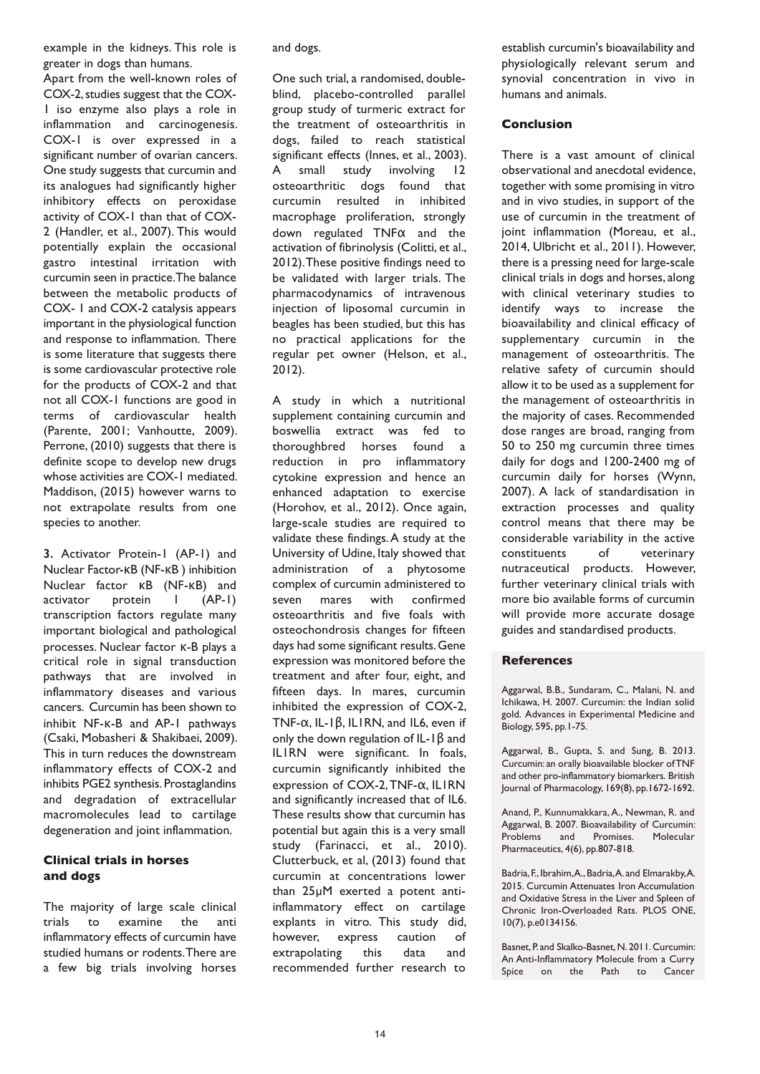example in the kidneys. This role is greater in dogs than humans.

Apart from the well-known roles of COX-2,studies suggest that the COX-1 iso enzyme also plays a role in inflammation and carcinogenesis. COX-1 is over expressed in a significant number of ovarian cancers. One study suggests that curcumin and its analogues had significantly higher inhibitory effects on peroxidase activity of COX-1 than that of COX-2 (Handler, et al., 2007). This would potentially explain the occasional gastro intestinal irritation with curcumin seen in practice.The balance between the metabolic products of COX- 1 and COX-2 catalysis appears important in the physiological function and response to inflammation. There is some literature that suggests there is some cardiovascular protective role for the products of COX-2 and that not all COX-1 functions are good in terms of cardiovascular health (Parente, 2001; Vanhoutte, 2009). Perrone, (2010) suggests that there is definite scope to develop new drugs whose activities are COX-1 mediated. Maddison, (2015) however warns to not extrapolate results from one species to another.

**3.** Activator Protein-1 (AP-1) and Nuclear Factor-κB (NF-κB ) inhibition Nuclear factor **κB** (NF-κB) and<br>activator protein 1 (AP-1) activator protein l transcription factors regulate many important biological and pathological processes. Nuclear factor κ-B plays a critical role in signal transduction pathways that are involved in inflammatory diseases and various cancers. Curcumin has been shown to inhibit NF-κ-B and AP-1 pathways (Csaki, Mobasheri & Shakibaei, 2009). This in turn reduces the downstream inflammatory effects of COX-2 and inhibits PGE2 synthesis. Prostaglandins and degradation of extracellular macromolecules lead to cartilage degeneration and joint inflammation.

## **Clinical trials in horses and dogs**

The majority of large scale clinical trials to examine the anti inflammatory effects of curcumin have studied humans or rodents.There are a few big trials involving horses and dogs.

One such trial, a randomised, doubleblind, placebo-controlled parallel group study of turmeric extract for the treatment of osteoarthritis in dogs, failed to reach statistical significant effects (Innes, et al., 2003). A small study involving 12 osteoarthritic dogs found that curcumin resulted in inhibited macrophage proliferation, strongly down regulated TNFα and the activation of fibrinolysis (Colitti, et al., 2012).These positive findings need to be validated with larger trials. The pharmacodynamics of intravenous injection of liposomal curcumin in beagles has been studied, but this has no practical applications for the regular pet owner (Helson, et al., 2012).

A study in which a nutritional supplement containing curcumin and boswellia extract was fed to thoroughbred horses found a reduction in pro inflammatory cytokine expression and hence an enhanced adaptation to exercise (Horohov, et al., 2012). Once again, large-scale studies are required to validate these findings.A study at the University of Udine, Italy showed that administration of a phytosome complex of curcumin administered to seven mares with confirmed osteoarthritis and five foals with osteochondrosis changes for fifteen days had some significant results.Gene expression was monitored before the treatment and after four, eight, and fifteen days. In mares, curcumin inhibited the expression of COX-2, TNF-α, IL-1β, IL1RN, and IL6, even if only the down regulation of IL-1 $\beta$  and IL1RN were significant. In foals, curcumin significantly inhibited the expression of COX-2,TNF-α, IL1RN and significantly increased that of IL6. These results show that curcumin has potential but again this is a very small study (Farinacci, et al., 2010). Clutterbuck, et al, (2013) found that curcumin at concentrations lower than 25µM exerted a potent antiinflammatory effect on cartilage explants in vitro. This study did, however, express caution of extrapolating this data and recommended further research to

establish curcumin's bioavailability and physiologically relevant serum and synovial concentration in vivo in humans and animals.

## **Conclusion**

There is a vast amount of clinical observational and anecdotal evidence, together with some promising in vitro and in vivo studies, in support of the use of curcumin in the treatment of joint inflammation (Moreau, et al., 2014, Ulbricht et al., 2011). However, there is a pressing need for large-scale clinical trials in dogs and horses, along with clinical veterinary studies to identify ways to increase the bioavailability and clinical efficacy of supplementary curcumin in the management of osteoarthritis. The relative safety of curcumin should allow it to be used as a supplement for the management of osteoarthritis in the majority of cases. Recommended dose ranges are broad, ranging from 50 to 250 mg curcumin three times daily for dogs and 1200-2400 mg of curcumin daily for horses (Wynn, 2007). A lack of standardisation in extraction processes and quality control means that there may be considerable variability in the active constituents of veterinary nutraceutical products. However, further veterinary clinical trials with more bio available forms of curcumin will provide more accurate dosage guides and standardised products.

### **References**

Aggarwal, B.B., Sundaram, C., Malani, N. and Ichikawa, H. 2007. Curcumin: the Indian solid gold. Advances in Experimental Medicine and Biology, 595, pp.1-75.

Aggarwal, B., Gupta, S. and Sung, B. 2013. Curcumin: an orally bioavailable blocker ofTNF and other pro-inflammatory biomarkers. British Journal of Pharmacology, 169(8), pp.1672-1692.

Anand, P., Kunnumakkara, A., Newman, R. and Aggarwal, B. 2007. Bioavailability of Curcumin: Problems and Promises. Molecular Pharmaceutics, 4(6), pp.807-818.

Badria, F., Ibrahim, A., Badria, A. and Elmarakby, A. 2015. Curcumin Attenuates Iron Accumulation and Oxidative Stress in the Liver and Spleen of Chronic Iron-Overloaded Rats. PLOS ONE, 10(7), p.e0134156.

Basnet, P. and Skalko-Basnet, N. 2011. Curcumin: An Anti-Inflammatory Molecule from a Curry Spice on the Path to Cancer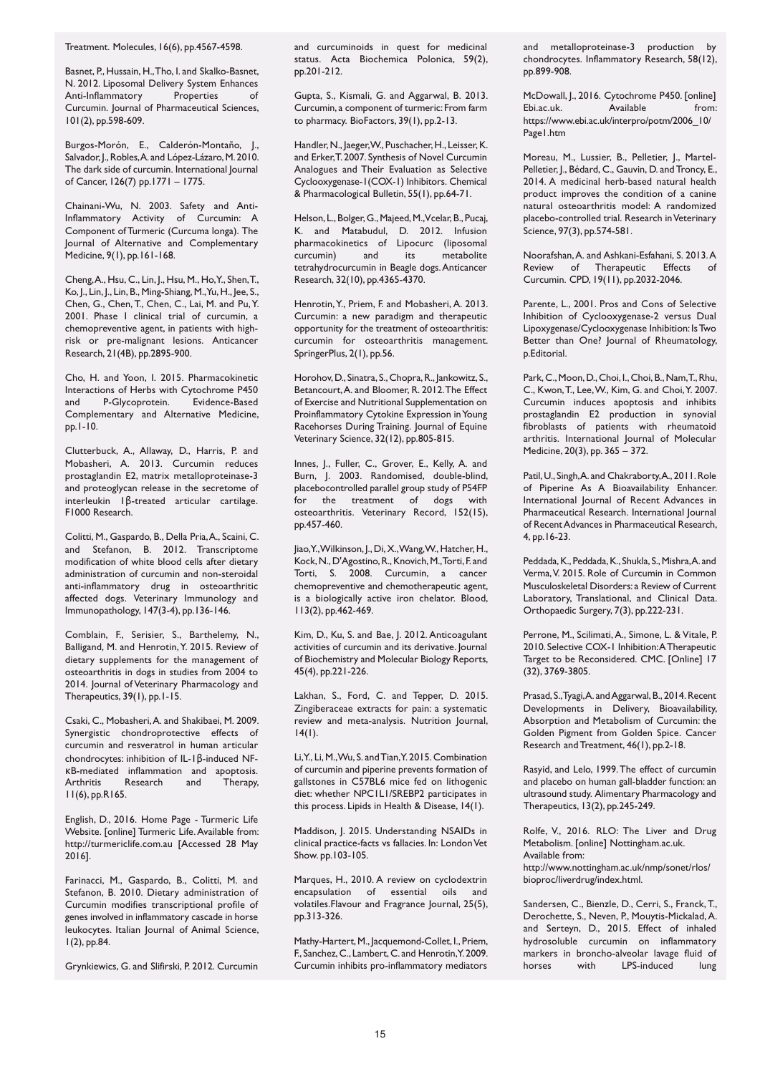Treatment. Molecules, 16(6), pp.4567-4598.

Basnet, P., Hussain, H.,Tho, I. and Skalko-Basnet, N. 2012. Liposomal Delivery System Enhances Anti-Inflammatory Properties of Curcumin. Journal of Pharmaceutical Sciences, 101(2), pp.598-609.

Burgos-Morón, E., Calderón-Montaño, J., Salvador, J., Robles, A. and López-Lázaro, M. 2010. The dark side of curcumin. International Journal of Cancer, 126(7) pp.1771 – 1775.

Chainani-Wu, N. 2003. Safety and Anti-Inflammatory Activity of Curcumin: A Component of Turmeric (Curcuma longa). The Journal of Alternative and Complementary Medicine, 9(1), pp.161-168.

Cheng,A., Hsu, C., Lin, J., Hsu, M., Ho,Y., Shen,T., Ko, J., Lin, J., Lin, B.,Ming-Shiang,M.,Yu, H., Jee, S., Chen, G., Chen,T., Chen, C., Lai, M. and Pu,Y. 2001. Phase I clinical trial of curcumin, a chemopreventive agent, in patients with highrisk or pre-malignant lesions. Anticancer Research, 21(4B), pp.2895-900.

Cho, H. and Yoon, I. 2015. Pharmacokinetic Interactions of Herbs with Cytochrome P450<br>and P-Glycoprotein. Evidence-Based and P-Glycoprotein. Complementary and Alternative Medicine, pp.1-10.

Clutterbuck, A., Allaway, D., Harris, P. and Mobasheri, A. 2013. Curcumin reduces prostaglandin E2, matrix metalloproteinase-3 and proteoglycan release in the secretome of interleukin 1β-treated articular cartilage. F1000 Research.

Colitti, M., Gaspardo, B., Della Pria,A., Scaini, C. and Stefanon, B. 2012. Transcriptome modification of white blood cells after dietary administration of curcumin and non-steroidal anti-inflammatory drug in osteoarthritic affected dogs. Veterinary Immunology and Immunopathology, 147(3-4), pp.136-146.

Comblain, F., Serisier, S., Barthelemy, N., Balligand, M. and Henrotin, Y. 2015. Review of dietary supplements for the management of osteoarthritis in dogs in studies from 2004 to 2014. Journal of Veterinary Pharmacology and Therapeutics, 39(1), pp.1-15.

Csaki, C., Mobasheri,A. and Shakibaei, M. 2009. Synergistic chondroprotective effects of curcumin and resveratrol in human articular chondrocytes: inhibition of IL-1β-induced NFκB-mediated inflammation and apoptosis. Research 11(6), pp.R165.

English, D., 2016. Home Page - Turmeric Life Website. [online] Turmeric Life.Available from: http://turmericlife.com.au [Accessed 28 May 2016].

Farinacci, M., Gaspardo, B., Colitti, M. and Stefanon, B. 2010. Dietary administration of Curcumin modifies transcriptional profile of genes involved in inflammatory cascade in horse leukocytes. Italian Journal of Animal Science, 1(2), pp.84.

Grynkiewics, G. and Slifirski, P. 2012. Curcumin

and curcuminoids in quest for medicinal status. Acta Biochemica Polonica, 59(2), pp.201-212.

Gupta, S., Kismali, G. and Aggarwal, B. 2013. Curcumin, a component of turmeric: From farm to pharmacy. BioFactors, 39(1), pp.2-13.

Handler, N., Jaeger, W., Puschacher, H., Leisser, K. and Erker,T. 2007. Synthesis of Novel Curcumin Analogues and Their Evaluation as Selective Cyclooxygenase-1(COX-1) Inhibitors. Chemical & Pharmacological Bulletin, 55(1), pp.64-71.

Helson, L., Bolger, G., Majeed, M., Vcelar, B., Pucaj, K. and Matabudul, D. 2012. Infusion pharmacokinetics of Lipocurc (liposomal curcumin) and its metabolite tetrahydrocurcumin in Beagle dogs.Anticancer Research, 32(10), pp.4365-4370.

Henrotin,Y., Priem, F. and Mobasheri, A. 2013. Curcumin: a new paradigm and therapeutic opportunity for the treatment of osteoarthritis: curcumin for osteoarthritis management. SpringerPlus, 2(1), pp.56.

Horohov, D., Sinatra, S., Chopra, R., Jankowitz, S., Betancourt,A. and Bloomer, R. 2012.The Effect of Exercise and Nutritional Supplementation on Proinflammatory Cytokine Expression in Young Racehorses During Training. Journal of Equine Veterinary Science, 32(12), pp.805-815.

Innes, J., Fuller, C., Grover, E., Kelly, A. and Burn, J. 2003. Randomised, double-blind, placebocontrolled parallel group study of P54FP for the treatment of dogs with osteoarthritis. Veterinary Record, 152(15), pp.457-460.

Jiao, Y., Wilkinson, J., Di, X., Wang, W., Hatcher, H., Kock, N., D'Agostino, R., Knovich, M., Torti, F. and Torti, S. 2008. Curcumin, a cancer chemopreventive and chemotherapeutic agent, is a biologically active iron chelator. Blood, 113(2), pp.462-469.

Kim, D., Ku, S. and Bae, J. 2012. Anticoagulant activities of curcumin and its derivative. Journal of Biochemistry and Molecular Biology Reports, 45(4), pp.221-226.

Lakhan, S., Ford, C. and Tepper, D. 2015. Zingiberaceae extracts for pain: a systematic review and meta-analysis. Nutrition Journal,  $14(1)$ .

Li,Y., Li,M.,Wu, S. andTian,Y. 2015.Combination of curcumin and piperine prevents formation of gallstones in C57BL6 mice fed on lithogenic diet: whether NPC1L1/SREBP2 participates in this process. Lipids in Health & Disease, 14(1).

Maddison, J. 2015. Understanding NSAIDs in clinical practice-facts vs fallacies. In: London Vet Show. pp.103-105.

Marques, H., 2010. A review on cyclodextrin encapsulation of essential oils and volatiles.Flavour and Fragrance Journal, 25(5), pp.313-326.

Mathy-Hartert,M., Jacquemond-Collet, I., Priem, F., Sanchez,C., Lambert,C. and Henrotin,Y. 2009. Curcumin inhibits pro-inflammatory mediators

and metalloproteinase-3 production by chondrocytes. Inflammatory Research, 58(12), pp.899-908.

McDowall, J., 2016. Cytochrome P450. [online] Ebi.ac.uk. Available from: https://www.ebi.ac.uk/interpro/potm/2006\_10/ Page1.htm

Moreau, M., Lussier, B., Pelletier, J., Martel-Pelletier, J., Bédard, C., Gauvin, D. and Troncy, E., 2014. A medicinal herb-based natural health product improves the condition of a canine natural osteoarthritis model: A randomized placebo-controlled trial. Research inVeterinary Science, 97(3), pp.574-581.

Noorafshan,A. and Ashkani-Esfahani, S. 2013.A Review of Therapeutic Effects of Curcumin. CPD, 19(11), pp.2032-2046.

Parente, L., 2001. Pros and Cons of Selective Inhibition of Cyclooxygenase-2 versus Dual Lipoxygenase/Cyclooxygenase Inhibition: IsTwo Better than One? Journal of Rheumatology, p.Editorial.

Park, C., Moon, D., Choi, I., Choi, B., Nam, T., Rhu, C., Kwon,T., Lee,W., Kim, G. and Choi,Y. 2007. Curcumin induces apoptosis and inhibits prostaglandin E2 production in synovial fibroblasts of patients with rheumatoid arthritis. International Journal of Molecular Medicine, 20(3), pp. 365 – 372.

Patil, U., Singh, A. and Chakraborty, A., 2011. Role of Piperine As A Bioavailability Enhancer. International Journal of Recent Advances in Pharmaceutical Research. International Journal of RecentAdvances in Pharmaceutical Research, 4, pp.16-23.

Peddada, K., Peddada, K., Shukla, S., Mishra, A. and Verma,V. 2015. Role of Curcumin in Common Musculoskeletal Disorders: a Review of Current Laboratory, Translational, and Clinical Data. Orthopaedic Surgery, 7(3), pp.222-231.

Perrone, M., Scilimati,A., Simone, L. & Vitale, P. 2010. Selective COX-1 Inhibition:ATherapeutic Target to be Reconsidered. CMC. [Online] 17 (32), 3769-3805.

Prasad, S., Tyagi, A. and Aggarwal, B., 2014. Recent Developments in Delivery, Bioavailability, Absorption and Metabolism of Curcumin: the Golden Pigment from Golden Spice. Cancer Research and Treatment, 46(1), pp.2-18.

Rasyid, and Lelo, 1999.The effect of curcumin and placebo on human gall-bladder function: an ultrasound study. Alimentary Pharmacology and Therapeutics, 13(2), pp.245-249.

Rolfe, V., 2016. RLO: The Liver and Drug Metabolism. [online] Nottingham.ac.uk. Available from: http://www.nottingham.ac.uk/nmp/sonet/rlos/ bioproc/liverdrug/index.html.

Sandersen, C., Bienzle, D., Cerri, S., Franck,T., Derochette, S., Neven, P., Mouytis-Mickalad,A. and Serteyn, D., 2015. Effect of inhaled hydrosoluble curcumin on inflammatory markers in broncho-alveolar lavage fluid of horses with LPS-induced lung